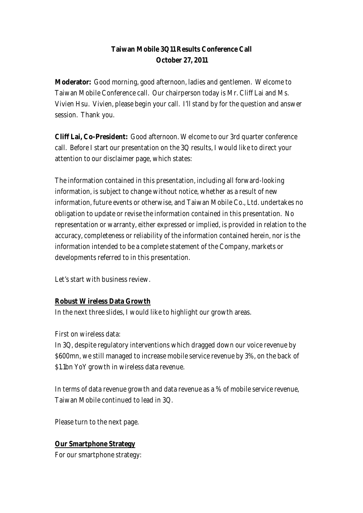## **Taiwan Mobile 3Q11 Results Conference Call October 27, 2011**

**Moderator:** Good morning, good afternoon, ladies and gentlemen. Welcome to Taiwan Mobile Conference call. Our chairperson today is Mr. Cliff Lai and Ms. Vivien Hsu. Vivien, please begin your call. I'll stand by for the question and answer session. Thank you.

**Cliff Lai, Co-President:** Good afternoon. Welcome to our 3rd quarter conference call. Before I start our presentation on the 3Q results, I would like to direct your attention to our disclaimer page, which states:

The information contained in this presentation, including all forward-looking information, is subject to change without notice, whether as a result of new information, future events or otherwise, and Taiwan Mobile Co., Ltd. undertakes no obligation to update or revise the information contained in this presentation. No representation or warranty, either expressed or implied, is provided in relation to the accuracy, completeness or reliability of the information contained herein, nor is the information intended to be a complete statement of the Company, markets or developments referred to in this presentation.

Let's start with business review.

### **Robust Wireless Data Growth**

In the next three slides, I would like to highlight our growth areas.

First on wireless data:

In 3Q, despite regulatory interventions which dragged down our voice revenue by \$600mn, we still managed to increase mobile service revenue by 3%, on the back of \$1.1bn YoY growth in wireless data revenue.

In terms of data revenue growth and data revenue as a % of mobile service revenue, Taiwan Mobile continued to lead in 3Q.

Please turn to the next page.

### **Our Smartphone Strategy**

For our smartphone strategy: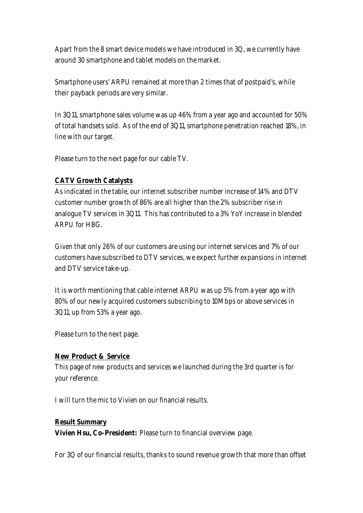Apart from the 8 smart device models we have introduced in 3Q, we currently have around 30 smartphone and tablet models on the market.

Smartphone users' ARPU remained at more than 2 times that of postpaid's, while their payback periods are very similar.

In 3Q11, smartphone sales volume was up 46% from a year ago and accounted for 50% of total handsets sold. As of the end of 3Q11, smartphone penetration reached 18%, in line with our target.

Please turn to the next page for our cable TV.

#### **CATV Growth Catalysts**

As indicated in the table, our internet subscriber number increase of 14% and DTV customer number growth of 86% are all higher than the 2% subscriber rise in analogue TV services in 3Q11. This has contributed to a 3% YoY increase in blended ARPU for HBG.

Given that only 26% of our customers are using our internet services and 7% of our customers have subscribed to DTV services, we expect further expansions in internet and DTV service take-up.

It is worth mentioning that cable internet ARPU was up 5% from a year ago with 80% of our newly acquired customers subscribing to 10Mbps or above services in 3Q11, up from 53% a year ago.

Please turn to the next page.

#### **New Product & Service**

This page of new products and services we launched during the 3rd quarter is for your reference.

I will turn the mic to Vivien on our financial results.

#### **Result Summary**

**Vivien Hsu, Co-President:** Please turn to financial overview page.

For 3Q of our financial results, thanks to sound revenue growth that more than offset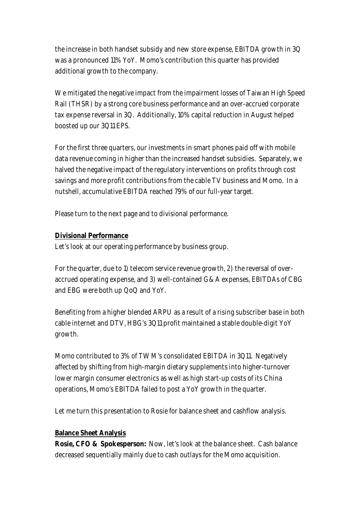the increase in both handset subsidy and new store expense, EBITDA growth in 3Q was a pronounced 11% YoY. Momo's contribution this quarter has provided additional growth to the company.

We mitigated the negative impact from the impairment losses of Taiwan High Speed Rail (THSR) by a strong core business performance and an over-accrued corporate tax expense reversal in 3Q. Additionally, 10% capital reduction in August helped boosted up our 3Q11 EPS.

For the first three quarters, our investments in smart phones paid off with mobile data revenue coming in higher than the increased handset subsidies. Separately, we halved the negative impact of the regulatory interventions on profits through cost savings and more profit contributions from the cable TV business and Momo. In a nutshell, accumulative EBITDA reached 79% of our full-year target.

Please turn to the next page and to divisional performance.

### **Divisional Performance**

Let's look at our operating performance by business group.

For the quarter, due to 1) telecom service revenue growth, 2) the reversal of overaccrued operating expense, and 3) well-contained G&A expenses, EBITDAs of CBG and EBG were both up QoQ and YoY.

Benefiting from a higher blended ARPU as a result of a rising subscriber base in both cable internet and DTV, HBG's 3Q11 profit maintained a stable double-digit YoY growth.

Momo contributed to 3% of TWM's consolidated EBITDA in 3Q11. Negatively affected by shifting from high-margin dietary supplements into higher-turnover lower margin consumer electronics as well as high start-up costs of its China operations, Momo's EBITDA failed to post a YoY growth in the quarter.

Let me turn this presentation to Rosie for balance sheet and cashflow analysis.

### **Balance Sheet Analysis**

**Rosie, CFO & Spokesperson:** Now, let's look at the balance sheet. Cash balance decreased sequentially mainly due to cash outlays for the Momo acquisition.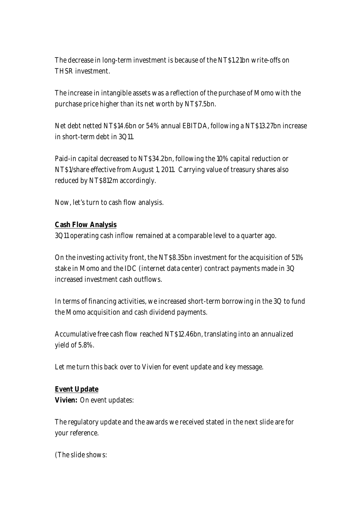The decrease in long-term investment is because of the NT\$1.21bn write-offs on THSR investment.

The increase in intangible assets was a reflection of the purchase of Momo with the purchase price higher than its net worth by NT\$7.5bn.

Net debt netted NT\$14.6bn or 54% annual EBITDA, following a NT\$13.27bn increase in short-term debt in 3Q11.

Paid-in capital decreased to NT\$34.2bn, following the 10% capital reduction or NT\$1/share effective from August 1, 2011. Carrying value of treasury shares also reduced by NT\$812m accordingly.

Now, let's turn to cash flow analysis.

#### **Cash Flow Analysis**

3Q11 operating cash inflow remained at a comparable level to a quarter ago.

On the investing activity front, the NT\$8.35bn investment for the acquisition of 51% stake in Momo and the IDC (internet data center) contract payments made in 3Q increased investment cash outflows.

In terms of financing activities, we increased short-term borrowing in the 3Q to fund the Momo acquisition and cash dividend payments.

Accumulative free cash flow reached NT\$12.46bn, translating into an annualized yield of 5.8%.

Let me turn this back over to Vivien for event update and key message.

**Event Update Vivien:** On event updates:

The regulatory update and the awards we received stated in the next slide are for your reference.

(The slide shows: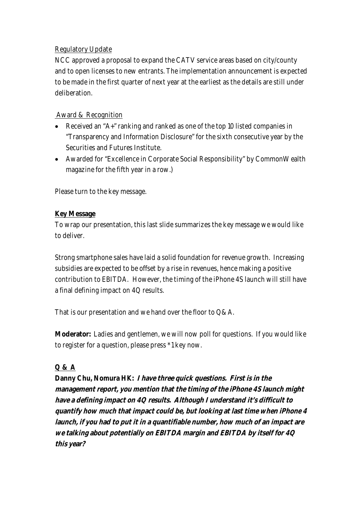### Regulatory Update

NCC approved a proposal to expand the CATV service areas based on city/county and to open licenses to new entrants. The implementation announcement is expected to be made in the first quarter of next year at the earliest as the details are still under deliberation.

### Award & Recognition

- Received an "A+" ranking and ranked as one of the top 10 listed companies in "Transparency and Information Disclosure" for the sixth consecutive year by the Securities and Futures Institute.
- Awarded for "Excellence in Corporate Social Responsibility" by CommonWealth magazine for the fifth year in a row.)

Please turn to the key message.

### **Key Message**

To wrap our presentation, this last slide summarizes the key message we would like to deliver.

Strong smartphone sales have laid a solid foundation for revenue growth. Increasing subsidies are expected to be offset by a rise in revenues, hence making a positive contribution to EBITDA. However, the timing of the iPhone 4S launch will still have a final defining impact on 4Q results.

That is our presentation and we hand over the floor to Q&A.

**Moderator:** Ladies and gentlemen, we will now poll for questions. If you would like to register for a question, please press \*1 key now.

### **Q & A**

**Danny Chu, Nomura HK: I have three quick questions. First is in the management report, you mention that the timing of the iPhone 4S launch might have a defining impact on 4Q results. Although I understand it's difficult to quantify how much that impact could be, but looking at last time when iPhone 4 launch, if you had to put it in a quantifiable number, how much of an impact are we talking about potentially on EBITDA margin and EBITDA by itself for 4Q this year?**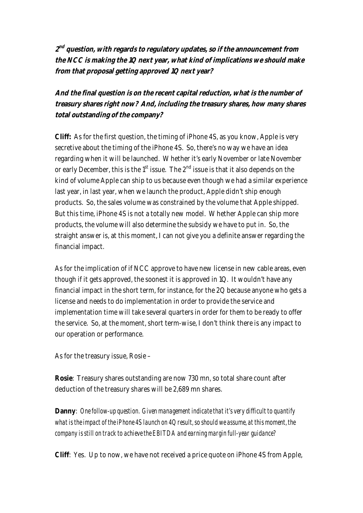**2 nd question, with regards to regulatory updates, so if the announcement from the NCC is making the 1Q next year, what kind of implications we should make from that proposal getting approved 1Q next year?** 

**And the final question is on the recent capital reduction, what is the number of treasury shares right now? And, including the treasury shares, how many shares total outstanding of the company?** 

**Cliff:** As for the first question, the timing of iPhone 4S, as you know, Apple is very secretive about the timing of the iPhone 4S. So, there's no way we have an idea regarding when it will be launched. Whether it's early November or late November or early December, this is the  $1<sup>st</sup>$  issue. The  $2<sup>nd</sup>$  issue is that it also depends on the kind of volume Apple can ship to us because even though we had a similar experience last year, in last year, when we launch the product, Apple didn't ship enough products. So, the sales volume was constrained by the volume that Apple shipped. But this time, iPhone 4S is not a totally new model. Whether Apple can ship more products, the volume will also determine the subsidy we have to put in. So, the straight answer is, at this moment, I can not give you a definite answer regarding the financial impact.

As for the implication of if NCC approve to have new license in new cable areas, even though if it gets approved, the soonest it is approved in 1Q. It wouldn't have any financial impact in the short term, for instance, for the 2Q because anyone who gets a license and needs to do implementation in order to provide the service and implementation time will take several quarters in order for them to be ready to offer the service. So, at the moment, short term-wise, I don't think there is any impact to our operation or performance.

As for the treasury issue, Rosie –

**Rosie**: Treasury shares outstanding are now 730 mn, so total share count after deduction of the treasury shares will be 2,689 mn shares.

**Danny**: *One follow-up question. Given management indicate that it's very difficult to quantify what is the impact of the iPhone 4S launch on 4Q result, so should we assume, at this moment, the company is still on track to achieve the EBITDA and earning margin full-year guidance?*

**Cliff**: Yes. Up to now, we have not received a price quote on iPhone 4S from Apple,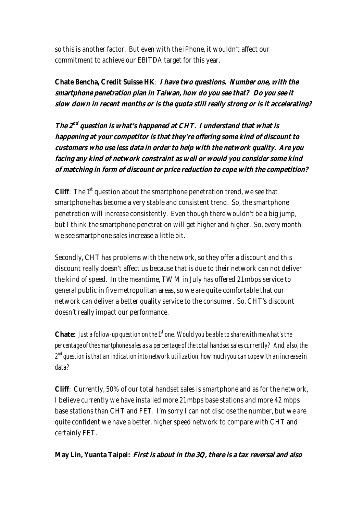so this is another factor. But even with the iPhone, it wouldn't affect our commitment to achieve our EBITDA target for this year.

**Chate Bencha, Credit Suisse HK**: **I have two questions. Number one, with the smartphone penetration plan in Taiwan, how do you see that? Do you see it slow down in recent months or is the quota still really strong or is it accelerating?** 

**The 2nd question is what's happened at CHT. I understand that what is happening at your competitor is that they're offering some kind of discount to customers who use less data in order to help with the network quality. Are you facing any kind of network constraint as well or would you consider some kind of matching in form of discount or price reduction to cope with the competition?** 

**Cliff**: The 1<sup>st</sup> question about the smartphone penetration trend, we see that smartphone has become a very stable and consistent trend. So, the smartphone penetration will increase consistently. Even though there wouldn't be a big jump, but I think the smartphone penetration will get higher and higher. So, every month we see smartphone sales increase a little bit.

Secondly, CHT has problems with the network, so they offer a discount and this discount really doesn't affect us because that is due to their network can not deliver the kind of speed. In the meantime, TWM in July has offered 21 mbps service to general public in five metropolitan areas, so we are quite comfortable that our network can deliver a better quality service to the consumer. So, CHT's discount doesn't really impact our performance.

**Chate**: *Just a follow-up question on the*  $f<sup>t</sup>$  one. Would you be able to share with me what's the *percentage of the smartphone sales as a percentage of the total handset sales currently? And, also, the*   $\mathcal{Z}^{nd}$  question is that an indication into network utilization, how much you can cope with an increase in *data?*

**Cliff**: Currently, 50% of our total handset sales is smartphone and as for the network, I believe currently we have installed more 21 mbps base stations and more 42 mbps base stations than CHT and FET. I'm sorry I can not disclose the number, but we are quite confident we have a better, higher speed network to compare with CHT and certainly FET.

**May Lin, Yuanta Taipei: First is about in the 3Q, there is a tax reversal and also**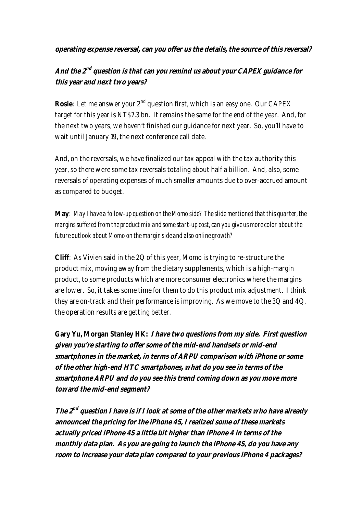#### **operating expense reversal, can you offer us the details, the source of this reversal?**

# **And the 2nd question is that can you remind us about your CAPEX guidance for this year and next two years?**

**Rosie**: Let me answer your 2<sup>nd</sup> question first, which is an easy one. Our CAPEX target for this year is NT\$7.3 bn. It remains the same for the end of the year. And, for the next two years, we haven't finished our guidance for next year. So, you'll have to wait until January 19, the next conference call date.

And, on the reversals, we have finalized our tax appeal with the tax authority this year, so there were some tax reversals totaling about half a billion. And, also, some reversals of operating expenses of much smaller amounts due to over-accrued amount as compared to budget.

**May**: *May I have a follow-up question on the Momo side? The slide mentioned that this quarter, the margins suffered from the product mix and some start-up cost, can you give us more color about the future outlook about Momo on the margin side and also online growth?*

**Cliff**: As Vivien said in the 2Q of this year, Momo is trying to re-structure the product mix, moving away from the dietary supplements, which is a high-margin product, to some products which are more consumer electronics where the margins are lower. So, it takes some time for them to do this product mix adjustment. I think they are on-track and their performance is improving. As we move to the 3Q and 4Q, the operation results are getting better.

**Gary Yu, Morgan Stanley HK: I have two questions from my side. First question given you're starting to offer some of the mid-end handsets or mid-end smartphones in the market, in terms of ARPU comparison with iPhone or some of the other high-end HTC smartphones, what do you see in terms of the smartphone ARPU and do you see this trend coming down as you move more toward the mid-end segment?** 

**The 2nd question I have is if I look at some of the other markets who have already announced the pricing for the iPhone 4S, I realized some of these markets actually priced iPhone 4S a little bit higher than iPhone 4 in terms of the monthly data plan. As you are going to launch the iPhone 4S, do you have any room to increase your data plan compared to your previous iPhone 4 packages?**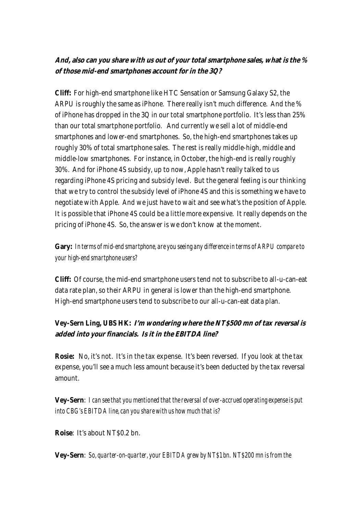## **And, also can you share with us out of your total smartphone sales, what is the % of those mid-end smartphones account for in the 3Q?**

**Cliff:** For high-end smartphone like HTC Sensation or Samsung Galaxy S2, the ARPU is roughly the same as iPhone. There really isn't much difference. And the % of iPhone has dropped in the 3Q in our total smartphone portfolio. It's less than 25% than our total smartphone portfolio. And currently we sell a lot of middle-end smartphones and lower-end smartphones. So, the high-end smartphones takes up roughly 30% of total smartphone sales. The rest is really middle-high, middle and middle-low smartphones. For instance, in October, the high-end is really roughly 30%. And for iPhone 4S subsidy, up to now, Apple hasn't really talked to us regarding iPhone 4S pricing and subsidy level. But the general feeling is our thinking that we try to control the subsidy level of iPhone 4S and this is something we have to negotiate with Apple. And we just have to wait and see what's the position of Apple. It is possible that iPhone 4S could be a little more expensive. It really depends on the pricing of iPhone 4S. So, the answer is we don't know at the moment.

# **Gary:** *In terms of mid-end smartphone, are you seeing any difference in terms of ARPU compare to your high-end smartphone users?*

**Cliff:** Of course, the mid-end smartphone users tend not to subscribe to all-u-can-eat data rate plan, so their ARPU in general is lower than the high-end smartphone. High-end smartphone users tend to subscribe to our all-u-can-eat data plan.

# **Vey-Sern Ling, UBS HK: I'm wondering where the NT\$500 mn of tax reversal is added into your financials. Is it in the EBITDA line?**

**Rosie:** No, it's not. It's in the tax expense. It's been reversed. If you look at the tax expense, you'll see a much less amount because it's been deducted by the tax reversal amount.

**Vey-Sern**: *I can see that you mentioned that the reversal of over-accrued operating expense is put into CBG's EBITDA line, can you share with us how much that is?*

**Roise**: It's about NT\$0.2 bn.

**Vey-Sern**: *So, quarter-on-quarter, your EBITDA grew by NT\$1 bn. NT\$200 mn is from the*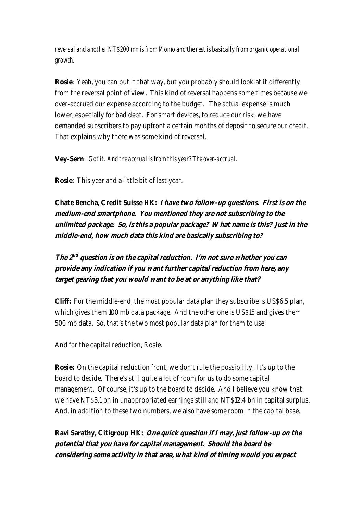*reversal and another NT\$200 mn is from Momo and the rest is basically from organic operational growth.*

**Rosie**: Yeah, you can put it that way, but you probably should look at it differently from the reversal point of view. This kind of reversal happens some times because we over-accrued our expense according to the budget. The actual expense is much lower, especially for bad debt. For smart devices, to reduce our risk, we have demanded subscribers to pay upfront a certain months of deposit to secure our credit. That explains why there was some kind of reversal.

**Vey-Sern**: *Got it. And the accrual is from this year? The over-accrual.*

**Rosie**: This year and a little bit of last year.

**Chate Bencha, Credit Suisse HK: I have two follow-up questions. First is on the medium-end smartphone. You mentioned they are not subscribing to the unlimited package. So, is this a popular package? What name is this? Just in the middle-end, how much data this kind are basically subscribing to?**

**The 2nd question is on the capital reduction. I'm not sure whether you can provide any indication if you want further capital reduction from here, any target gearing that you would want to be at or anything like that?** 

**Cliff:** For the middle-end, the most popular data plan they subscribe is US\$6.5 plan, which gives them 100 mb data package. And the other one is US\$15 and gives them 500 mb data. So, that's the two most popular data plan for them to use.

And for the capital reduction, Rosie.

**Rosie:** On the capital reduction front, we don't rule the possibility. It's up to the board to decide. There's still quite a lot of room for us to do some capital management. Of course, it's up to the board to decide. And I believe you know that we have NT\$3.1 bn in unappropriated earnings still and NT\$12.4 bn in capital surplus. And, in addition to these two numbers, we also have some room in the capital base.

**Ravi Sarathy, Citigroup HK: One quick question if I may, just follow-up on the potential that you have for capital management. Should the board be considering some activity in that area, what kind of timing would you expect**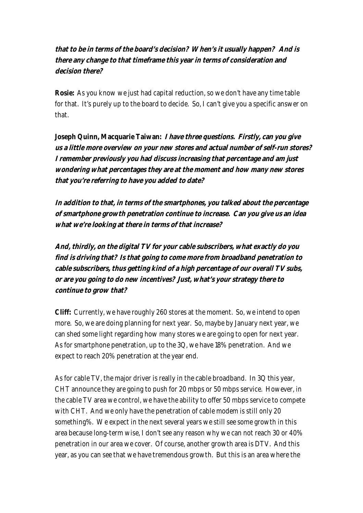# **that to be in terms of the board's decision? When's it usually happen? And is there any change to that timeframe this year in terms of consideration and decision there?**

**Rosie:** As you know we just had capital reduction, so we don't have any time table for that. It's purely up to the board to decide. So, I can't give you a specific answer on that.

**Joseph Quinn, Macquarie Taiwan: I have three questions. Firstly, can you give us a little more overview on your new stores and actual number of self-run stores? I remember previously you had discuss increasing that percentage and am just wondering what percentages they are at the moment and how many new stores that you're referring to have you added to date?** 

**In addition to that, in terms of the smartphones, you talked about the percentage of smartphone growth penetration continue to increase. Can you give us an idea what we're looking at there in terms of that increase?** 

**And, thirdly, on the digital TV for your cable subscribers, what exactly do you find is driving that? Is that going to come more from broadband penetration to cable subscribers, thus getting kind of a high percentage of our overall TV subs, or are you going to do new incentives? Just, what's your strategy there to continue to grow that?** 

**Cliff:** Currently, we have roughly 260 stores at the moment. So, we intend to open more. So, we are doing planning for next year. So, maybe by January next year, we can shed some light regarding how many stores we are going to open for next year. As for smartphone penetration, up to the 3Q, we have 18% penetration. And we expect to reach 20% penetration at the year end.

As for cable TV, the major driver is really in the cable broadband. In 3Q this year, CHT announce they are going to push for 20 mbps or 50 mbps service. However, in the cable TV area we control, we have the ability to offer 50 mbps service to compete with CHT. And we only have the penetration of cable modem is still only 20 something%. We expect in the next several years we still see some growth in this area because long-term wise, I don't see any reason why we can not reach 30 or 40% penetration in our area we cover. Of course, another growth area is DTV. And this year, as you can see that we have tremendous growth. But this is an area where the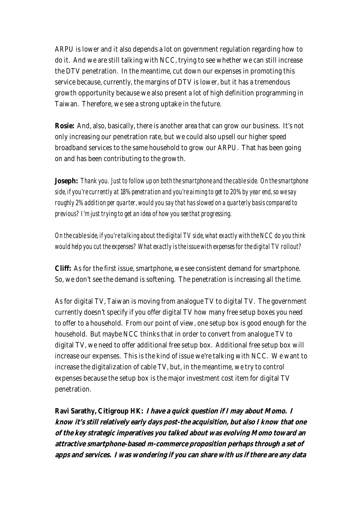ARPU is lower and it also depends a lot on government regulation regarding how to do it. And we are still talking with NCC, trying to see whether we can still increase the DTV penetration. In the meantime, cut down our expenses in promoting this service because, currently, the margins of DTV is lower, but it has a tremendous growth opportunity because we also present a lot of high definition programming in Taiwan. Therefore, we see a strong uptake in the future.

**Rosie:** And, also, basically, there is another area that can grow our business. It's not only increasing our penetration rate, but we could also upsell our higher speed broadband services to the same household to grow our ARPU. That has been going on and has been contributing to the growth.

**Joseph:** *Thank you. Just to follow up on both the smartphone and the cable side. On the smartphone side, if you're currently at 18% penetration and you're aiming to get to 20% by year end, so we say roughly 2% addition per quarter, would you say that has slowed on a quarterly basis compared to previous? I'm just trying to get an idea of how you see that progressing.*

*On the cable side, if you're talking about the digital TV side, what exactly with the NCC do you think would help you cut the expenses? What exactly is the issue with expenses for the digital TV rollout?* 

**Cliff:** As for the first issue, smartphone, we see consistent demand for smartphone. So, we don't see the demand is softening. The penetration is increasing all the time.

As for digital TV, Taiwan is moving from analogue TV to digital TV. The government currently doesn't specify if you offer digital TV how many free setup boxes you need to offer to a household. From our point of view, one setup box is good enough for the household. But maybe NCC thinks that in order to convert from analogue TV to digital TV, we need to offer additional free setup box. Additional free setup box will increase our expenses. This is the kind of issue we're talking with NCC. We want to increase the digitalization of cable TV, but, in the meantime, we try to control expenses because the setup box is the major investment cost item for digital TV penetration.

**Ravi Sarathy, Citigroup HK: I have a quick question if I may about Momo. I know it's still relatively early days post-the acquisition, but also I know that one of the key strategic imperatives you talked about was evolving Momo toward an attractive smartphone-based m-commerce proposition perhaps through a set of apps and services. I was wondering if you can share with us if there are any data**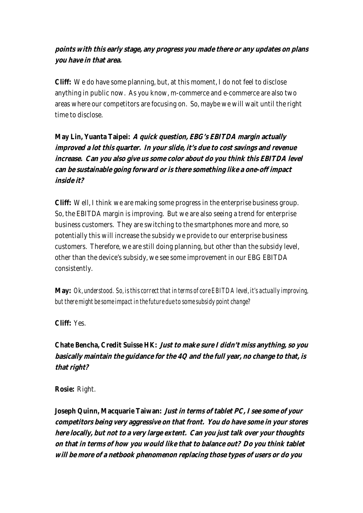## **points with this early stage, any progress you made there or any updates on plans you have in that area.**

**Cliff:** We do have some planning, but, at this moment, I do not feel to disclose anything in public now. As you know, m-commerce and e-commerce are also two areas where our competitors are focusing on. So, maybe we will wait until the right time to disclose.

**May Lin, Yuanta Taipei: A quick question, EBG's EBITDA margin actually improved a lot this quarter. In your slide, it's due to cost savings and revenue increase. Can you also give us some color about do you think this EBITDA level can be sustainable going forward or is there something like a one-off impact inside it?** 

**Cliff:** Well, I think we are making some progress in the enterprise business group. So, the EBITDA margin is improving. But we are also seeing a trend for enterprise business customers. They are switching to the smartphones more and more, so potentially this will increase the subsidy we provide to our enterprise business customers. Therefore, we are still doing planning, but other than the subsidy level, other than the device's subsidy, we see some improvement in our EBG EBITDA consistently.

**May:** *Ok, understood. So, is this correct that in terms of core EBITDA level, it's actually improving, but there might be some impact in the future due to some subsidy point change?*

**Cliff:** Yes.

**Chate Bencha, Credit Suisse HK: Just to make sure I didn't miss anything, so you basically maintain the guidance for the 4Q and the full year, no change to that, is that right?**

**Rosie:** Right.

**Joseph Quinn, Macquarie Taiwan: Just in terms of tablet PC, I see some of your competitors being very aggressive on that front. You do have some in your stores here locally, but not to a very large extent. Can you just talk over your thoughts on that in terms of how you would like that to balance out? Do you think tablet will be more of a netbook phenomenon replacing those types of users or do you**